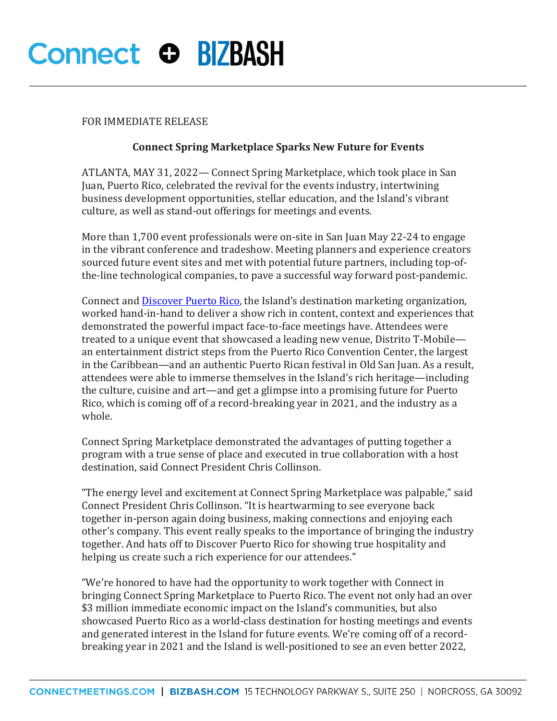## **Connect O BIZBASH**

### FOR IMMEDIATE RELEASE

## **Connect Spring Marketplace Sparks New Future for Events**

ATLANTA, MAY 31, 2022— Connect Spring Marketplace, which took place in San Juan, Puerto Rico, celebrated the revival for the events industry, intertwining business development opportunities, stellar education, and the Island's vibrant culture, as well as stand-out offerings for meetings and events.

More than 1,700 event professionals were on-site in San Juan May 22-24 to engage in the vibrant conference and tradeshow. Meeting planners and experience creators sourced future event sites and met with potential future partners, including top-ofthe-line technological companies, to pave a successful way forward post-pandemic.

Connect and **Discover Puerto Rico**, the Island's destination marketing organization, worked hand-in-hand to deliver a show rich in content, context and experiences that demonstrated the powerful impact face-to-face meetings have. Attendees were treated to a unique event that showcased a leading new venue, Distrito T-Mobile an entertainment district steps from the Puerto Rico Convention Center, the largest in the Caribbean—and an authentic Puerto Rican festival in Old San Juan. As a result, attendees were able to immerse themselves in the Island's rich heritage—including the culture, cuisine and art—and get a glimpse into a promising future for Puerto Rico, which is coming off of a record-breaking year in 2021, and the industry as a whole.

Connect Spring Marketplace demonstrated the advantages of putting together a program with a true sense of place and executed in true collaboration with a host destination, said Connect President Chris Collinson.

"The energy level and excitement at Connect Spring Marketplace was palpable," said Connect President Chris Collinson. "It is heartwarming to see everyone back together in-person again doing business, making connections and enjoying each other's company. This event really speaks to the importance of bringing the industry together. And hats off to Discover Puerto Rico for showing true hospitality and helping us create such a rich experience for our attendees."

"We're honored to have had the opportunity to work together with Connect in bringing Connect Spring Marketplace to Puerto Rico. The event not only had an over \$3 million immediate economic impact on the Island's communities, but also showcased Puerto Rico as a world-class destination for hosting meetings and events and generated interest in the Island for future events. We're coming off of a recordbreaking year in 2021 and the Island is well-positioned to see an even better 2022,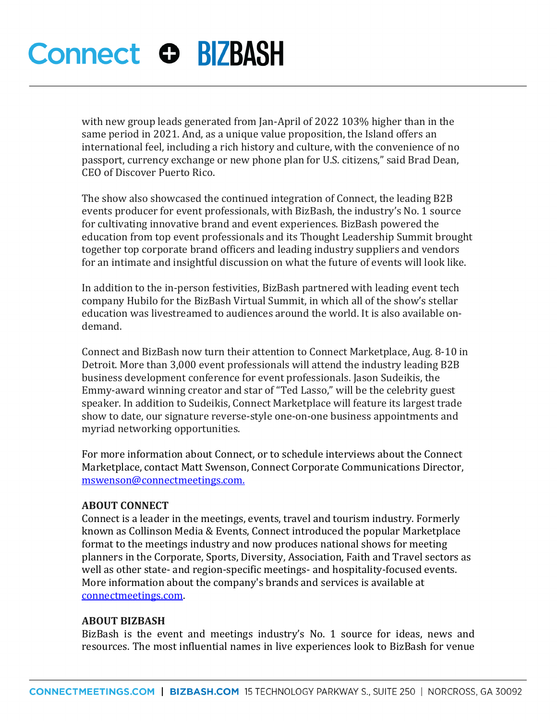# **Connect O BIZBASH**

with new group leads generated from Jan-April of 2022 103% higher than in the same period in 2021. And, as a unique value proposition, the Island offers an international feel, including a rich history and culture, with the convenience of no passport, currency exchange or new phone plan for U.S. citizens," said Brad Dean, CEO of Discover Puerto Rico.

The show also showcased the continued integration of Connect, the leading B2B events producer for event professionals, with BizBash, the industry's No. 1 source for cultivating innovative brand and event experiences. BizBash powered the education from top event professionals and its Thought Leadership Summit brought together top corporate brand officers and leading industry suppliers and vendors for an intimate and insightful discussion on what the future of events will look like.

In addition to the in-person festivities, BizBash partnered with leading event tech company Hubilo for the BizBash Virtual Summit, in which all of the show's stellar education was livestreamed to audiences around the world. It is also available ondemand.

Connect and BizBash now turn their attention to Connect Marketplace, Aug. 8-10 in Detroit. More than 3,000 event professionals will attend the industry leading B2B business development conference for event professionals. Jason Sudeikis, the Emmy-award winning creator and star of "Ted Lasso," will be the celebrity guest speaker. In addition to Sudeikis, Connect Marketplace will feature its largest trade show to date, our signature reverse-style one-on-one business appointments and myriad networking opportunities.

For more information about Connect, or to schedule interviews about the Connect Marketplace, contact Matt Swenson, Connect Corporate Communications Director, [mswenson@connectmeetings.com.](mailto:mswenson@connectmeetings.com)

#### **ABOUT CONNECT**

Connect is a leader in the meetings, events, travel and tourism industry. Formerly known as Collinson Media & Events, Connect introduced the popular Marketplace format to the meetings industry and now produces national shows for meeting planners in the Corporate, Sports, Diversity, Association, Faith and Travel sectors as well as other state- and region-specific meetings- and hospitality-focused events. More information about the company's brands and services is available at connectmeetings.com.

#### **ABOUT BIZBASH**

BizBash is the event and meetings industry's No. 1 source for ideas, news and resources. The most influential names in live experiences look to BizBash for venue